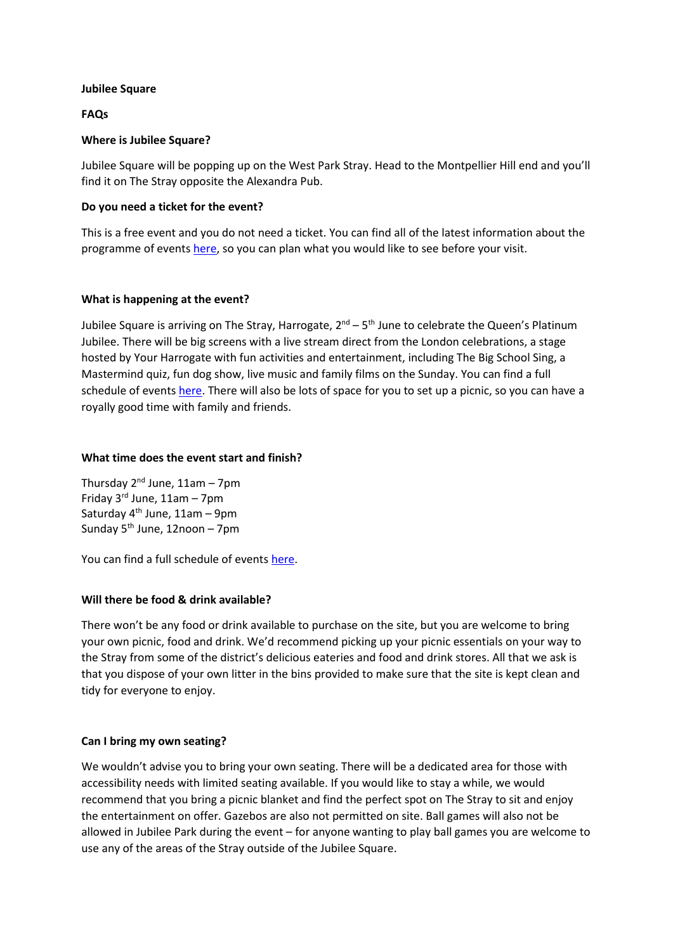### **Jubilee Square**

# **FAQs**

### **Where is Jubilee Square?**

Jubilee Square will be popping up on the West Park Stray. Head to the Montpellier Hill end and you'll find it on The Stray opposite the Alexandra Pub.

### **Do you need a ticket for the event?**

This is a free event and you do not need a ticket. You can find all of the latest information about the programme of events [here,](visitharrogate.co.uk/jubilee) so you can plan what you would like to see before your visit.

### **What is happening at the event?**

Jubilee Square is arriving on The Stray, Harrogate, 2<sup>nd</sup> – 5<sup>th</sup> June to celebrate the Queen's Platinum Jubilee. There will be big screens with a live stream direct from the London celebrations, a stage hosted by Your Harrogate with fun activities and entertainment, including The Big School Sing, a Mastermind quiz, fun dog show, live music and family films on the Sunday. You can find a full schedule of events [here.](visitharrogate.co.uk/jubilee) There will also be lots of space for you to set up a picnic, so you can have a royally good time with family and friends.

### **What time does the event start and finish?**

Thursday  $2^{nd}$  June,  $11am - 7pm$ Friday  $3^{\text{rd}}$  June,  $11$ am – 7pm Saturday  $4<sup>th</sup>$  June, 11am – 9pm Sunday  $5<sup>th</sup>$  June, 12noon – 7pm

You can find a full schedule of events [here.](visitharrogate.co.uk/jubilee)

# **Will there be food & drink available?**

There won't be any food or drink available to purchase on the site, but you are welcome to bring your own picnic, food and drink. We'd recommend picking up your picnic essentials on your way to the Stray from some of the district's delicious eateries and food and drink stores. All that we ask is that you dispose of your own litter in the bins provided to make sure that the site is kept clean and tidy for everyone to enjoy.

# **Can I bring my own seating?**

We wouldn't advise you to bring your own seating. There will be a dedicated area for those with accessibility needs with limited seating available. If you would like to stay a while, we would recommend that you bring a picnic blanket and find the perfect spot on The Stray to sit and enjoy the entertainment on offer. Gazebos are also not permitted on site. Ball games will also not be allowed in Jubilee Park during the event – for anyone wanting to play ball games you are welcome to use any of the areas of the Stray outside of the Jubilee Square.